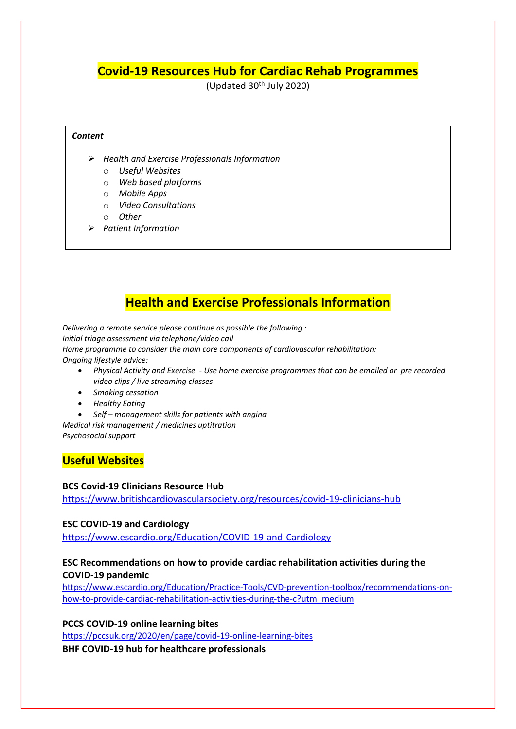# **Covid-19 Resources Hub for Cardiac Rehab Programmes**

(Updated  $30<sup>th</sup>$  July 2020)

#### *Content*

- *Health and Exercise Professionals Information* 
	- o *Useful Websites*
	- o *Web based platforms*
	- o *Mobile Apps*
	- o *Video Consultations*
	- o *Other*
- *Patient Information*

## **Health and Exercise Professionals Information**

*Delivering a remote service please continue as possible the following : Initial triage assessment via telephone/video call Home programme to consider the main core components of cardiovascular rehabilitation: Ongoing lifestyle advice:*

- *Physical Activity and Exercise - Use home exercise programmes that can be emailed or pre recorded video clips / live streaming classes*
- *Smoking cessation*
- *Healthy Eating*
- *Self – management skills for patients with angina*

*Medical risk management / medicines uptitration Psychosocial support*

### **Useful Websites**

#### **BCS Covid-19 Clinicians Resource Hub**

<https://www.britishcardiovascularsociety.org/resources/covid-19-clinicians-hub>

#### **ESC COVID-19 and Cardiology**

<https://www.escardio.org/Education/COVID-19-and-Cardiology>

### **ESC Recommendations on how to provide cardiac rehabilitation activities during the COVID-19 pandemic**

[https://www.escardio.org/Education/Practice-Tools/CVD-prevention-toolbox/recommendations-on](https://www.escardio.org/Education/Practice-Tools/CVD-prevention-toolbox/recommendations-on-how-to-provide-cardiac-rehabilitation-activities-during-the-c?utm_medium)[how-to-provide-cardiac-rehabilitation-activities-during-the-c?utm\\_medium](https://www.escardio.org/Education/Practice-Tools/CVD-prevention-toolbox/recommendations-on-how-to-provide-cardiac-rehabilitation-activities-during-the-c?utm_medium) 

#### **PCCS COVID-19 online learning bites**

<https://pccsuk.org/2020/en/page/covid-19-online-learning-bites>

**BHF COVID-19 hub for healthcare professionals**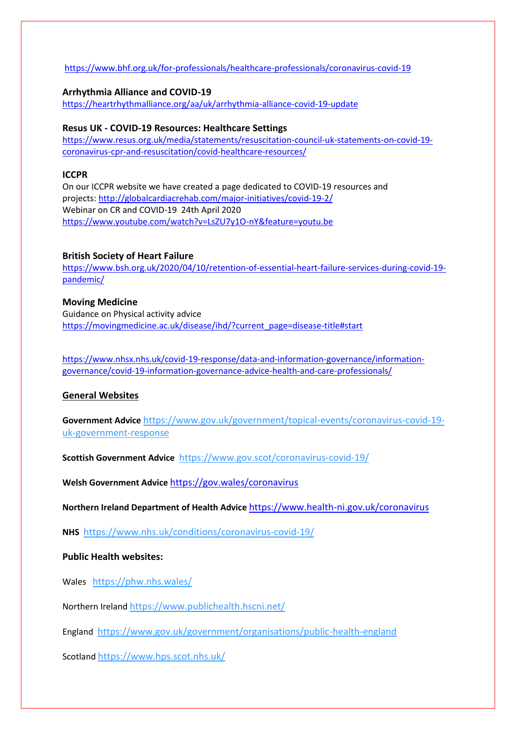### <https://www.bhf.org.uk/for-professionals/healthcare-professionals/coronavirus-covid-19>

#### **Arrhythmia Alliance and COVID-19** <https://heartrhythmalliance.org/aa/uk/arrhythmia-alliance-covid-19-update>

### **Resus UK - COVID-19 Resources: Healthcare Settings**

[https://www.resus.org.uk/media/statements/resuscitation-council-uk-statements-on-covid-19](https://www.resus.org.uk/media/statements/resuscitation-council-uk-statements-on-covid-19-coronavirus-cpr-and-resuscitation/covid-healthcare-resources/) [coronavirus-cpr-and-resuscitation/covid-healthcare-resources/](https://www.resus.org.uk/media/statements/resuscitation-council-uk-statements-on-covid-19-coronavirus-cpr-and-resuscitation/covid-healthcare-resources/)

#### **ICCPR**

On our ICCPR website we have created a page dedicated to COVID-19 resources and projects: <http://globalcardiacrehab.com/major-initiatives/covid-19-2/> Webinar on CR and COVID-19 24th April 2020 <https://www.youtube.com/watch?v=LsZU7y1O-nY&feature=youtu.be>

### **British Society of Heart Failure**

[https://www.bsh.org.uk/2020/04/10/retention-of-essential-heart-failure-services-during-covid-19](https://www.bsh.org.uk/2020/04/10/retention-of-essential-heart-failure-services-during-covid-19-pandemic/) [pandemic/](https://www.bsh.org.uk/2020/04/10/retention-of-essential-heart-failure-services-during-covid-19-pandemic/)

### **Moving Medicine**

Guidance on Physical activity advice https://movingmedicine.ac.uk/disease/ihd/?current\_page=disease-title#start

[https://www.nhsx.nhs.uk/covid-19-response/data-and-information-governance/information](https://www.nhsx.nhs.uk/covid-19-response/data-and-information-governance/information-governance/covid-19-information-governance-advice-health-and-care-professionals/)[governance/covid-19-information-governance-advice-health-and-care-professionals/](https://www.nhsx.nhs.uk/covid-19-response/data-and-information-governance/information-governance/covid-19-information-governance-advice-health-and-care-professionals/)

### **General Websites**

**Government Advice** [https://www.gov.uk/government/topical-events/coronavirus-covid-19](https://www.gov.uk/government/topical-events/coronavirus-covid-19-uk-government-response) [uk-government-response](https://www.gov.uk/government/topical-events/coronavirus-covid-19-uk-government-response)

**Scottish Government Advice** <https://www.gov.scot/coronavirus-covid-19/>

**Welsh Government Advice** <https://gov.wales/coronavirus>

**Northern Ireland Department of Health Advice** <https://www.health-ni.gov.uk/coronavirus>

**NHS** <https://www.nhs.uk/conditions/coronavirus-covid-19/>

### **Public Health websites:**

Wales <https://phw.nhs.wales/>

Northern Ireland <https://www.publichealth.hscni.net/>

England <https://www.gov.uk/government/organisations/public-health-england>

Scotland <https://www.hps.scot.nhs.uk/>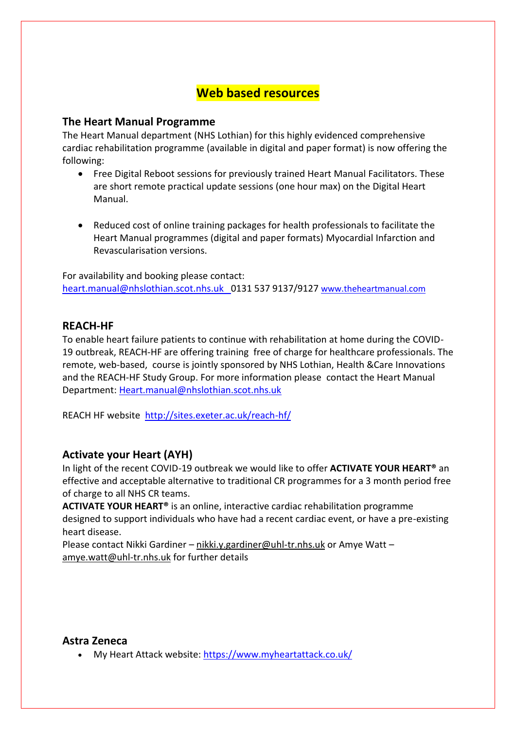## **Web based resources**

## **The Heart Manual Programme**

The Heart Manual department (NHS Lothian) for this highly evidenced comprehensive cardiac rehabilitation programme (available in digital and paper format) is now offering the following:

- Free Digital Reboot sessions for previously trained Heart Manual Facilitators. These are short remote practical update sessions (one hour max) on the Digital Heart Manual.
- Reduced cost of online training packages for health professionals to facilitate the Heart Manual programmes (digital and paper formats) Myocardial Infarction and Revascularisation versions.

For availability and booking please contact: [heart.manual@nhslothian.scot.nhs.uk](mailto:heart.manual@nhslothian.scot.nhs.uk) 0131 537 9137/9127 [www.theheartmanual.com](http://www.theheartmanual.com/)

## **REACH-HF**

To enable heart failure patients to continue with rehabilitation at home during the COVID-19 outbreak, REACH-HF are offering training free of charge for healthcare professionals. The remote, web-based, course is jointly sponsored by NHS Lothian, Health &Care Innovations and the REACH-HF Study Group. For more information please contact the Heart Manual Department: [Heart.manual@nhslothian.scot.nhs.uk](mailto:Heart.manual@nhslothian.scot.nhs.uk)

REACH HF website <http://sites.exeter.ac.uk/reach-hf/>

## **Activate your Heart (AYH)**

In light of the recent COVID-19 outbreak we would like to offer **ACTIVATE YOUR HEART®** an effective and acceptable alternative to traditional CR programmes for a 3 month period free of charge to all NHS CR teams.

**ACTIVATE YOUR HEART®** is an online, interactive cardiac rehabilitation programme designed to support individuals who have had a recent cardiac event, or have a pre-existing heart disease.

Please contact Nikki Gardiner – [nikki.y.gardiner@uhl-tr.nhs.uk](mailto:nikki.y.gardiner@uhl-tr.nhs.uk) or Amye Watt – [amye.watt@uhl-tr.nhs.uk](mailto:amye.watt@uhl-tr.nhs.uk) for further details

### **Astra Zeneca**

My Heart Attack website[: https://www.myheartattack.co.uk/](https://www.myheartattack.co.uk/)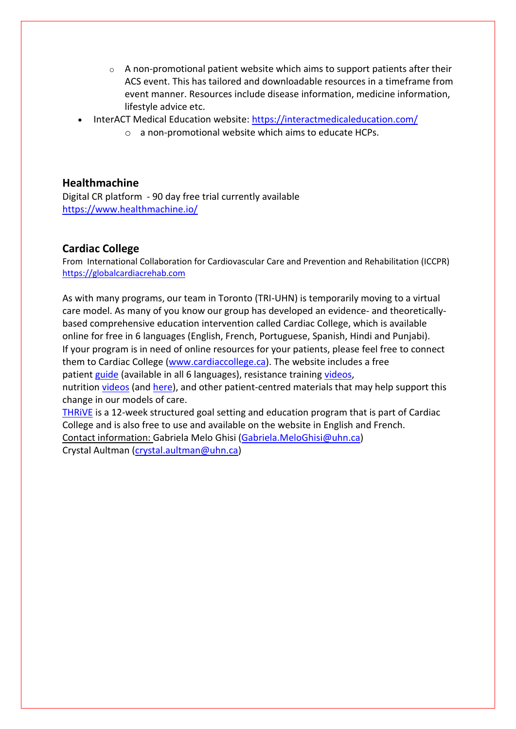- $\circ$  A non-promotional patient website which aims to support patients after their ACS event. This has tailored and downloadable resources in a timeframe from event manner. Resources include disease information, medicine information, lifestyle advice etc.
- InterACT Medical Education website:<https://interactmedicaleducation.com/>
	- o a non-promotional website which aims to educate HCPs.

## **Healthmachine**

Digital CR platform - 90 day free trial currently available <https://www.healthmachine.io/>

## **Cardiac College**

From International Collaboration for Cardiovascular Care and Prevention and Rehabilitation (ICCPR) [https://globalcardiacrehab.com](https://globalcardiacrehab.com/)

As with many programs, our team in Toronto (TRI-UHN) is temporarily moving to a virtual care model. As many of you know our group has developed an evidence- and theoreticallybased comprehensive education intervention called Cardiac College, which is available online for free in 6 languages (English, French, Portuguese, Spanish, Hindi and Punjabi). If your program is in need of online resources for your patients, please feel free to connect them to Cardiac College [\(www.cardiaccollege.ca\)](http://www.cardiaccollege.ca/). The website includes a free patient [guide](https://www.healtheuniversity.ca/EN/CardiacCollege/About/Pages/download-guide.aspx) (available in all 6 languages), resistance training [videos,](https://www.healtheuniversity.ca/EN/CardiacCollege/Active/Resistance_Training/Exercises/Pages/exercise-gallery.aspx)

nutrition [videos](https://www.healtheuniversity.ca/EN/CardiacCollege/Eating/Choosing/Pages/default.aspx) (and [here\)](https://www.healtheuniversity.ca/EN/CardiacCollege/Eating/What-is-healthy-eating/Pages/healthy_eating_videos.aspx), and other patient-centred materials that may help support this change in our models of care.

[THRiVE](https://www.healtheuniversity.ca/EN/CardiacCollege/THRIVE/) is a 12-week structured goal setting and education program that is part of Cardiac College and is also free to use and available on the website in English and French. Contact information: Gabriela Melo Ghisi [\(Gabriela.MeloGhisi@uhn.ca\)](mailto:Gabriela.MeloGhisi@uhn.ca)

Crystal Aultman [\(crystal.aultman@uhn.ca\)](mailto:crystal.aultman@uhn.ca)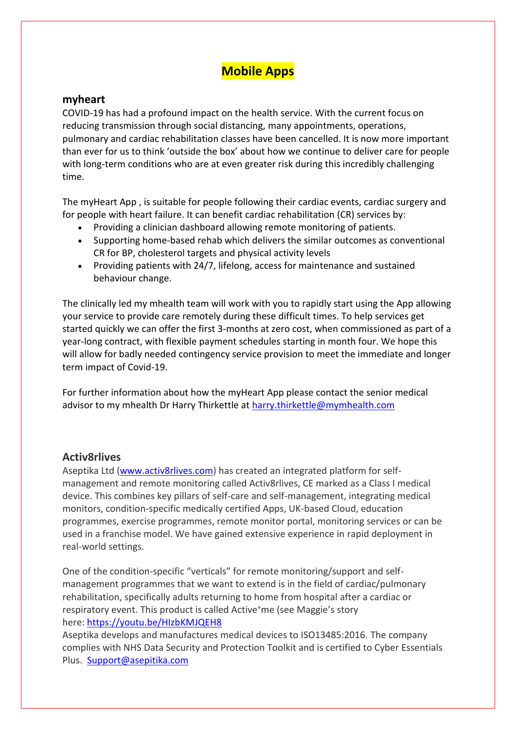# **Mobile Apps**

### **myheart**

COVID-19 has had a profound impact on the health service. With the current focus on reducing transmission through social distancing, many appointments, operations, pulmonary and cardiac rehabilitation classes have been cancelled. It is now more important than ever for us to think 'outside the box' about how we continue to deliver care for people with long-term conditions who are at even greater risk during this incredibly challenging time.

The myHeart App , is suitable for people following their cardiac events, cardiac surgery and for people with heart failure. It can benefit cardiac rehabilitation (CR) services by:

- Providing a clinician dashboard allowing remote monitoring of patients.
- Supporting home-based rehab which delivers the similar outcomes as conventional CR for BP, cholesterol targets and physical activity levels
- Providing patients with 24/7, lifelong, access for maintenance and sustained behaviour change.

The clinically led my mhealth team will work with you to rapidly start using the App allowing your service to provide care remotely during these difficult times. To help services get started quickly we can offer the first 3-months at zero cost, when commissioned as part of a year-long contract, with flexible payment schedules starting in month four. We hope this will allow for badly needed contingency service provision to meet the immediate and longer term impact of Covid-19.

For further information about how the myHeart App please contact the senior medical advisor to my mhealth Dr Harry Thirkettle at [harry.thirkettle@mymhealth.com](mailto:harry.thirkettle@mymhealth.com)

### **Activ8rlives**

Aseptika Ltd [\(www.activ8rlives.com\)](http://www.activ8rlives.com/) has created an integrated platform for selfmanagement and remote monitoring called Activ8rlives, CE marked as a Class I medical device. This combines key pillars of self-care and self-management, integrating medical monitors, condition-specific medically certified Apps, UK-based Cloud, education programmes, exercise programmes, remote monitor portal, monitoring services or can be used in a franchise model. We have gained extensive experience in rapid deployment in real-world settings.

One of the condition-specific "verticals" for remote monitoring/support and selfmanagement programmes that we want to extend is in the field of cardiac/pulmonary rehabilitation, specifically adults returning to home from hospital after a cardiac or respiratory event. This product is called Active<sup>+</sup>me (see Maggie's story here: <https://youtu.be/HIzbKMJQEH8>

Aseptika develops and manufactures medical devices to ISO13485:2016. The company complies with NHS Data Security and Protection Toolkit and is certified to Cyber Essentials Plus. [Support@asepitika.com](mailto:Support@asepitika.com)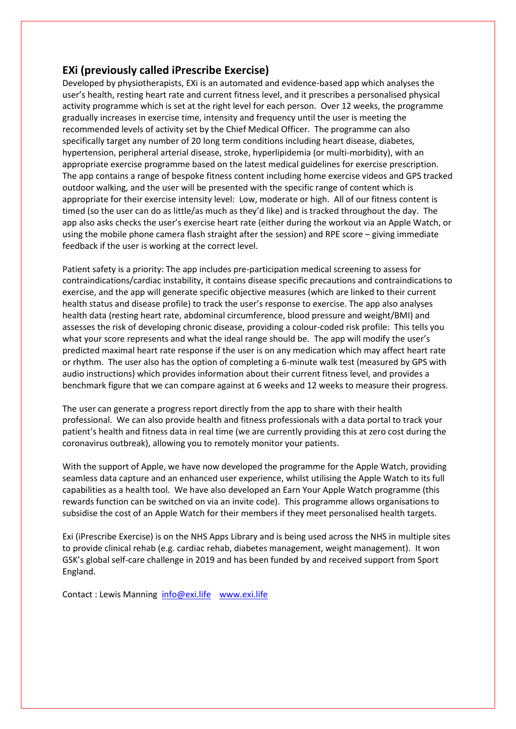## **EXi (previously called iPrescribe Exercise)**

Developed by physiotherapists, EXi is an automated and evidence-based app which analyses the user's health, resting heart rate and current fitness level, and it prescribes a personalised physical activity programme which is set at the right level for each person. Over 12 weeks, the programme gradually increases in exercise time, intensity and frequency until the user is meeting the recommended levels of activity set by the Chief Medical Officer. The programme can also specifically target any number of 20 long term conditions including heart disease, diabetes, hypertension, peripheral arterial disease, stroke, hyperlipidemia (or multi-morbidity), with an appropriate exercise programme based on the latest medical guidelines for exercise prescription. The app contains a range of bespoke fitness content including home exercise videos and GPS tracked outdoor walking, and the user will be presented with the specific range of content which is appropriate for their exercise intensity level: Low, moderate or high. All of our fitness content is timed (so the user can do as little/as much as they'd like) and is tracked throughout the day. The app also asks checks the user's exercise heart rate (either during the workout via an Apple Watch, or using the mobile phone camera flash straight after the session) and RPE score – giving immediate feedback if the user is working at the correct level.

Patient safety is a priority: The app includes pre-participation medical screening to assess for contraindications/cardiac instability, it contains disease specific precautions and contraindications to exercise, and the app will generate specific objective measures (which are linked to their current health status and disease profile) to track the user's response to exercise. The app also analyses health data (resting heart rate, abdominal circumference, blood pressure and weight/BMI) and assesses the risk of developing chronic disease, providing a colour-coded risk profile: This tells you what your score represents and what the ideal range should be. The app will modify the user's predicted maximal heart rate response if the user is on any medication which may affect heart rate or rhythm. The user also has the option of completing a 6-minute walk test (measured by GPS with audio instructions) which provides information about their current fitness level, and provides a benchmark figure that we can compare against at 6 weeks and 12 weeks to measure their progress.

The user can generate a progress report directly from the app to share with their health professional. We can also provide health and fitness professionals with a data portal to track your patient's health and fitness data in real time (we are currently providing this at zero cost during the coronavirus outbreak), allowing you to remotely monitor your patients.

With the support of Apple, we have now developed the programme for the Apple Watch, providing seamless data capture and an enhanced user experience, whilst utilising the Apple Watch to its full capabilities as a health tool. We have also developed an Earn Your Apple Watch programme (this rewards function can be switched on via an invite code). This programme allows organisations to subsidise the cost of an Apple Watch for their members if they meet personalised health targets.

Exi (iPrescribe Exercise) is on the NHS Apps Library and is being used across the NHS in multiple sites to provide clinical rehab (e.g. cardiac rehab, diabetes management, weight management). It won GSK's global self-care challenge in 2019 and has been funded by and received support from Sport England.

Contact : Lewis Manning [info@exi.life](mailto:info@exi.life) [www.exi.life](http://www.exi.life/)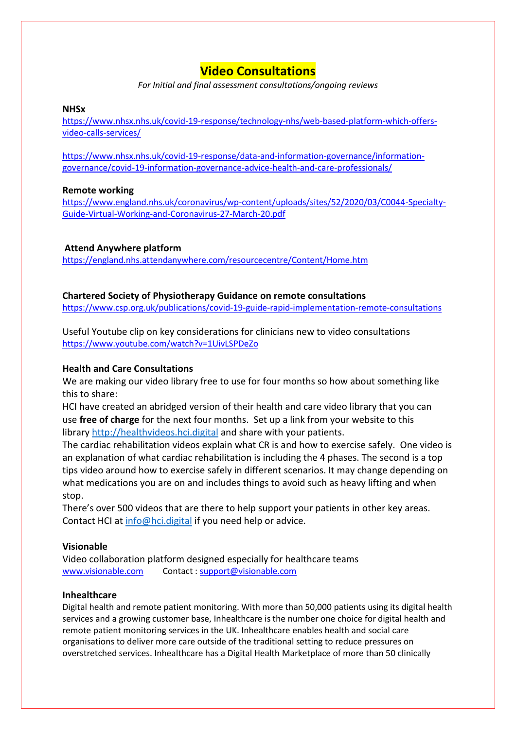## **Video Consultations**

*For Initial and final assessment consultations/ongoing reviews*

### **NHSx**

[https://www.nhsx.nhs.uk/covid-19-response/technology-nhs/web-based-platform-which-offers](https://www.nhsx.nhs.uk/covid-19-response/technology-nhs/web-based-platform-which-offers-video-calls-services/)[video-calls-services/](https://www.nhsx.nhs.uk/covid-19-response/technology-nhs/web-based-platform-which-offers-video-calls-services/)

[https://www.nhsx.nhs.uk/covid-19-response/data-and-information-governance/information](https://www.nhsx.nhs.uk/covid-19-response/data-and-information-governance/information-governance/covid-19-information-governance-advice-health-and-care-professionals/)[governance/covid-19-information-governance-advice-health-and-care-professionals/](https://www.nhsx.nhs.uk/covid-19-response/data-and-information-governance/information-governance/covid-19-information-governance-advice-health-and-care-professionals/)

### **Remote working**

[https://www.england.nhs.uk/coronavirus/wp-content/uploads/sites/52/2020/03/C0044-Specialty-](https://www.england.nhs.uk/coronavirus/wp-content/uploads/sites/52/2020/03/C0044-Specialty-Guide-Virtual-Working-and-Coronavirus-27-March-20.pdf)[Guide-Virtual-Working-and-Coronavirus-27-March-20.pdf](https://www.england.nhs.uk/coronavirus/wp-content/uploads/sites/52/2020/03/C0044-Specialty-Guide-Virtual-Working-and-Coronavirus-27-March-20.pdf)

### **Attend Anywhere platform**

<https://england.nhs.attendanywhere.com/resourcecentre/Content/Home.htm>

### **Chartered Society of Physiotherapy Guidance on remote consultations**

<https://www.csp.org.uk/publications/covid-19-guide-rapid-implementation-remote-consultations>

Useful Youtube clip on key considerations for clinicians new to video consultations <https://www.youtube.com/watch?v=1UivLSPDeZo>

### **Health and Care Consultations**

We are making our video library free to use for four months so how about something like this to share:

HCI have created an abridged version of their health and care video library that you can use **free of charge** for the next four months. Set up a link from your website to this library [http://healthvideos.hci.digital](http://healthvideos.hci.digital/) and share with your patients.

The cardiac rehabilitation videos explain what CR is and how to exercise safely. One video is an explanation of what cardiac rehabilitation is including the 4 phases. The second is a top tips video around how to exercise safely in different scenarios. It may change depending on what medications you are on and includes things to avoid such as heavy lifting and when stop.

There's over 500 videos that are there to help support your patients in other key areas. Contact HCI at [info@hci.digital](mailto:info@hci.digital) if you need help or advice.

### **Visionable**

Video collaboration platform designed especially for healthcare teams [www.visionable.com](http://www.visionable.com/) Contact : [support@visionable.com](mailto:support@visionable.com) 

### **Inhealthcare**

Digital health and remote patient monitoring. With more than 50,000 patients using its digital health services and a growing customer base, Inhealthcare is the number one choice for digital health and remote patient monitoring services in the UK. Inhealthcare enables health and social care organisations to deliver more care outside of the traditional setting to reduce pressures on overstretched services. Inhealthcare has a Digital Health Marketplace of more than 50 clinically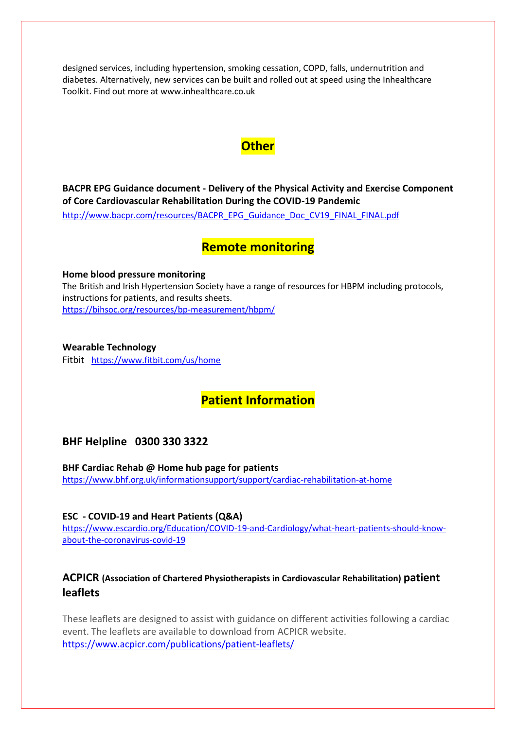designed services, including hypertension, smoking cessation, COPD, falls, undernutrition and diabetes. Alternatively, new services can be built and rolled out at speed using the Inhealthcare Toolkit. Find out more at [www.inhealthcare.co.uk](http://www.inhealthcare.co.uk/)

## **Other**

**BACPR EPG Guidance document - Delivery of the Physical Activity and Exercise Component of Core Cardiovascular Rehabilitation During the COVID-19 Pandemic** 

[http://www.bacpr.com/resources/BACPR\\_EPG\\_Guidance\\_Doc\\_CV19\\_FINAL\\_FINAL.pdf](http://www.bacpr.com/resources/BACPR_EPG_Guidance_Doc_CV19_FINAL_FINAL.pdf)

## **Remote monitoring**

**Home blood pressure monitoring**  The British and Irish Hypertension Society have a range of resources for HBPM including protocols,

instructions for patients, and results sheets. <https://bihsoc.org/resources/bp-measurement/hbpm/>

**Wearable Technology**  Fitbit <https://www.fitbit.com/us/home>

# **Patient Information**

## **BHF Helpline 0300 330 3322**

**BHF Cardiac Rehab @ Home hub page for patients** <https://www.bhf.org.uk/informationsupport/support/cardiac-rehabilitation-at-home>

**ESC - COVID-19 and Heart Patients (Q&A)** [https://www.escardio.org/Education/COVID-19-and-Cardiology/what-heart-patients-should-know](https://www.escardio.org/Education/COVID-19-and-Cardiology/what-heart-patients-should-know-about-the-coronavirus-covid-19)[about-the-coronavirus-covid-19](https://www.escardio.org/Education/COVID-19-and-Cardiology/what-heart-patients-should-know-about-the-coronavirus-covid-19)

## **ACPICR (Association of Chartered Physiotherapists in Cardiovascular Rehabilitation) patient leaflets**

These leaflets are designed to assist with guidance on different activities following a cardiac event. The leaflets are available to download from ACPICR website. <https://www.acpicr.com/publications/patient-leaflets/>